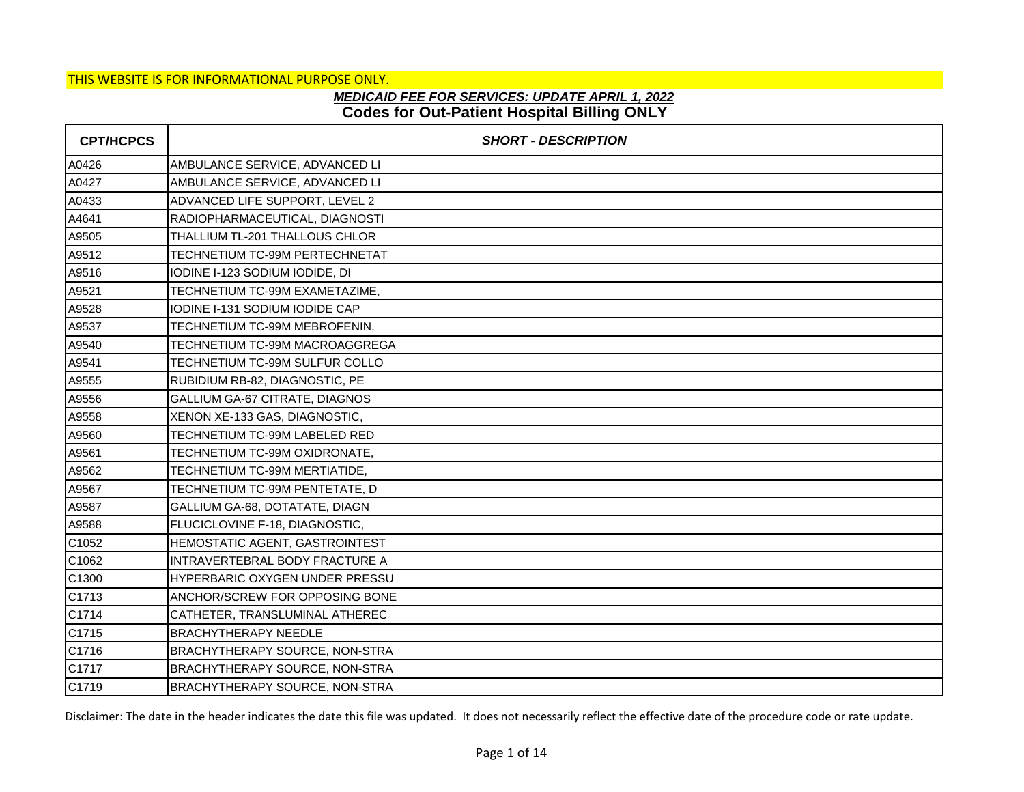# **Codes for Out-Patient Hospital Billing ONLY** *MEDICAID FEE FOR SERVICES: UPDATE APRIL 1, 2022*

| <b>CPT/HCPCS</b> | <b>SHORT - DESCRIPTION</b>            |
|------------------|---------------------------------------|
| A0426            | AMBULANCE SERVICE, ADVANCED LI        |
| A0427            | AMBULANCE SERVICE, ADVANCED LI        |
| A0433            | ADVANCED LIFE SUPPORT, LEVEL 2        |
| A4641            | RADIOPHARMACEUTICAL, DIAGNOSTI        |
| A9505            | THALLIUM TL-201 THALLOUS CHLOR        |
| A9512            | TECHNETIUM TC-99M PERTECHNETAT        |
| A9516            | IODINE I-123 SODIUM IODIDE, DI        |
| A9521            | TECHNETIUM TC-99M EXAMETAZIME,        |
| A9528            | IODINE I-131 SODIUM IODIDE CAP        |
| A9537            | TECHNETIUM TC-99M MEBROFENIN,         |
| A9540            | TECHNETIUM TC-99M MACROAGGREGA        |
| A9541            | TECHNETIUM TC-99M SULFUR COLLO        |
| A9555            | RUBIDIUM RB-82, DIAGNOSTIC, PE        |
| A9556            | GALLIUM GA-67 CITRATE, DIAGNOS        |
| A9558            | XENON XE-133 GAS, DIAGNOSTIC,         |
| A9560            | TECHNETIUM TC-99M LABELED RED         |
| A9561            | TECHNETIUM TC-99M OXIDRONATE,         |
| A9562            | TECHNETIUM TC-99M MERTIATIDE,         |
| A9567            | TECHNETIUM TC-99M PENTETATE, D        |
| A9587            | GALLIUM GA-68, DOTATATE, DIAGN        |
| A9588            | FLUCICLOVINE F-18, DIAGNOSTIC,        |
| C1052            | HEMOSTATIC AGENT, GASTROINTEST        |
| C1062            | INTRAVERTEBRAL BODY FRACTURE A        |
| C1300            | HYPERBARIC OXYGEN UNDER PRESSU        |
| C1713            | ANCHOR/SCREW FOR OPPOSING BONE        |
| C1714            | CATHETER, TRANSLUMINAL ATHEREC        |
| C1715            | <b>BRACHYTHERAPY NEEDLE</b>           |
| C1716            | BRACHYTHERAPY SOURCE, NON-STRA        |
| C1717            | <b>BRACHYTHERAPY SOURCE, NON-STRA</b> |
| C1719            | BRACHYTHERAPY SOURCE, NON-STRA        |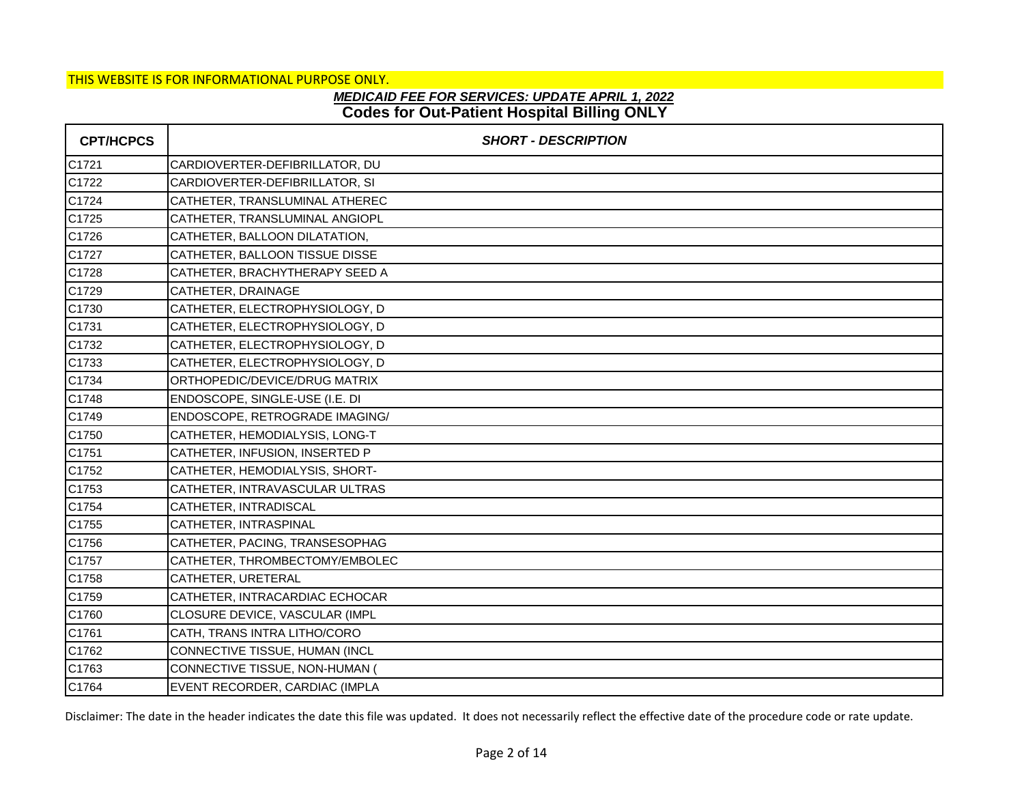# **Codes for Out-Patient Hospital Billing ONLY** *MEDICAID FEE FOR SERVICES: UPDATE APRIL 1, 2022*

| <b>CPT/HCPCS</b> | <b>SHORT - DESCRIPTION</b>     |
|------------------|--------------------------------|
| C1721            | CARDIOVERTER-DEFIBRILLATOR, DU |
| C1722            | CARDIOVERTER-DEFIBRILLATOR, SI |
| C1724            | CATHETER, TRANSLUMINAL ATHEREC |
| C1725            | CATHETER, TRANSLUMINAL ANGIOPL |
| C1726            | CATHETER, BALLOON DILATATION,  |
| C1727            | CATHETER, BALLOON TISSUE DISSE |
| C1728            | CATHETER, BRACHYTHERAPY SEED A |
| C1729            | CATHETER, DRAINAGE             |
| C1730            | CATHETER, ELECTROPHYSIOLOGY, D |
| C1731            | CATHETER, ELECTROPHYSIOLOGY, D |
| C1732            | CATHETER, ELECTROPHYSIOLOGY, D |
| C1733            | CATHETER, ELECTROPHYSIOLOGY, D |
| C1734            | ORTHOPEDIC/DEVICE/DRUG MATRIX  |
| C1748            | ENDOSCOPE, SINGLE-USE (I.E. DI |
| C1749            | ENDOSCOPE, RETROGRADE IMAGING/ |
| C1750            | CATHETER, HEMODIALYSIS, LONG-T |
| C1751            | CATHETER, INFUSION, INSERTED P |
| C1752            | CATHETER, HEMODIALYSIS, SHORT- |
| C1753            | CATHETER, INTRAVASCULAR ULTRAS |
| C1754            | CATHETER, INTRADISCAL          |
| C1755            | CATHETER, INTRASPINAL          |
| C1756            | CATHETER, PACING, TRANSESOPHAG |
| C1757            | CATHETER, THROMBECTOMY/EMBOLEC |
| C1758            | CATHETER, URETERAL             |
| C1759            | CATHETER, INTRACARDIAC ECHOCAR |
| C1760            | CLOSURE DEVICE, VASCULAR (IMPL |
| C1761            | CATH, TRANS INTRA LITHO/CORO   |
| C1762            | CONNECTIVE TISSUE, HUMAN (INCL |
| C1763            | CONNECTIVE TISSUE, NON-HUMAN ( |
| C1764            | EVENT RECORDER, CARDIAC (IMPLA |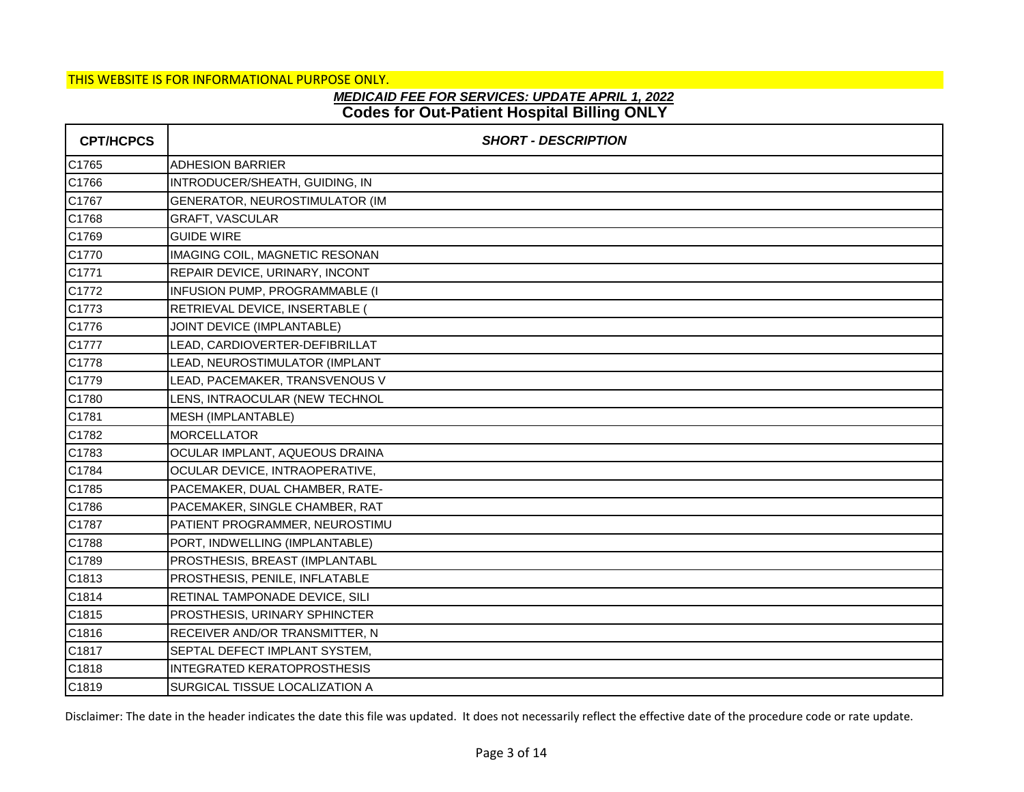### **Codes for Out-Patient Hospital Billing ONLY** *MEDICAID FEE FOR SERVICES: UPDATE APRIL 1, 2022*

| <b>CPT/HCPCS</b> | <b>SHORT - DESCRIPTION</b>         |
|------------------|------------------------------------|
| C1765            | <b>ADHESION BARRIER</b>            |
| C1766            | INTRODUCER/SHEATH, GUIDING, IN     |
| C1767            | GENERATOR, NEUROSTIMULATOR (IM     |
| C1768            | GRAFT, VASCULAR                    |
| C1769            | <b>GUIDE WIRE</b>                  |
| C1770            | IMAGING COIL, MAGNETIC RESONAN     |
| C1771            | REPAIR DEVICE, URINARY, INCONT     |
| C1772            | INFUSION PUMP, PROGRAMMABLE (I     |
| C1773            | RETRIEVAL DEVICE, INSERTABLE (     |
| C1776            | JOINT DEVICE (IMPLANTABLE)         |
| C1777            | LEAD, CARDIOVERTER-DEFIBRILLAT     |
| C1778            | LEAD, NEUROSTIMULATOR (IMPLANT     |
| C1779            | LEAD, PACEMAKER, TRANSVENOUS V     |
| C1780            | LENS, INTRAOCULAR (NEW TECHNOL     |
| C1781            | MESH (IMPLANTABLE)                 |
| C1782            | <b>MORCELLATOR</b>                 |
| C1783            | OCULAR IMPLANT, AQUEOUS DRAINA     |
| C1784            | OCULAR DEVICE, INTRAOPERATIVE,     |
| C1785            | PACEMAKER, DUAL CHAMBER, RATE-     |
| C1786            | PACEMAKER, SINGLE CHAMBER, RAT     |
| C1787            | PATIENT PROGRAMMER, NEUROSTIMU     |
| C1788            | PORT, INDWELLING (IMPLANTABLE)     |
| C1789            | PROSTHESIS, BREAST (IMPLANTABL     |
| C1813            | PROSTHESIS, PENILE, INFLATABLE     |
| C1814            | RETINAL TAMPONADE DEVICE, SILI     |
| C1815            | PROSTHESIS, URINARY SPHINCTER      |
| C1816            | RECEIVER AND/OR TRANSMITTER, N     |
| C1817            | SEPTAL DEFECT IMPLANT SYSTEM,      |
| C1818            | <b>INTEGRATED KERATOPROSTHESIS</b> |
| C1819            | SURGICAL TISSUE LOCALIZATION A     |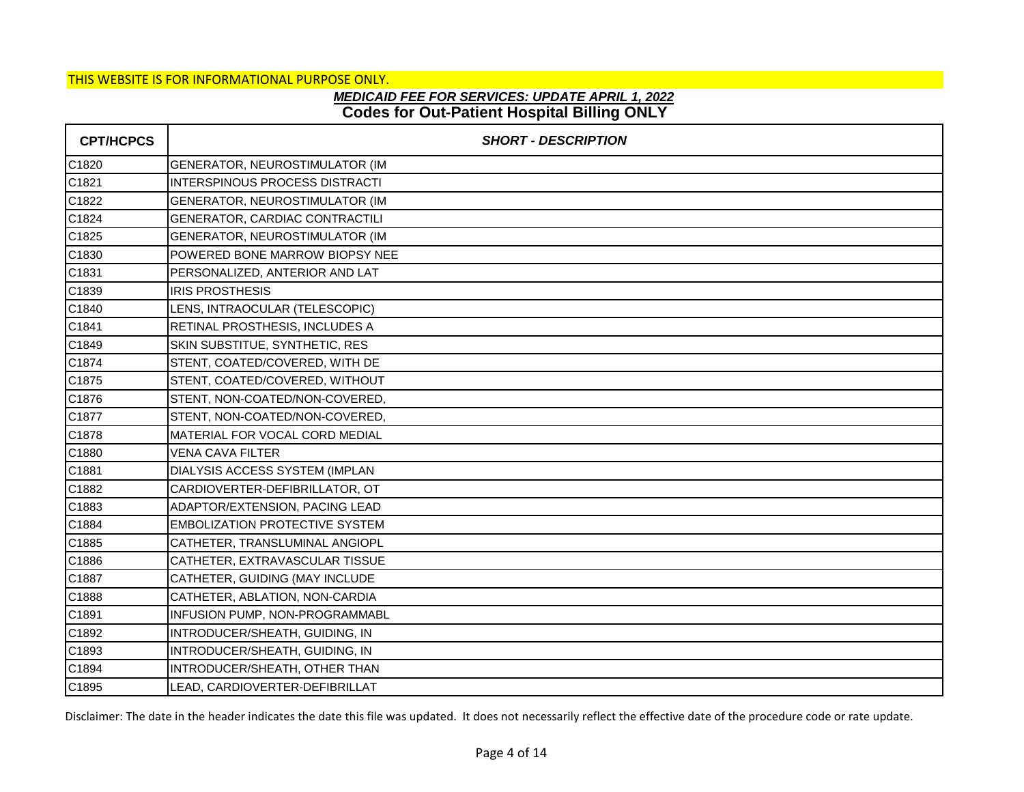# **Codes for Out-Patient Hospital Billing ONLY** *MEDICAID FEE FOR SERVICES: UPDATE APRIL 1, 2022*

| <b>CPT/HCPCS</b> | <b>SHORT - DESCRIPTION</b>            |
|------------------|---------------------------------------|
| C1820            | GENERATOR, NEUROSTIMULATOR (IM        |
| C1821            | INTERSPINOUS PROCESS DISTRACTI        |
| C1822            | GENERATOR, NEUROSTIMULATOR (IM        |
| C1824            | GENERATOR, CARDIAC CONTRACTILI        |
| C1825            | GENERATOR, NEUROSTIMULATOR (IM        |
| C1830            | POWERED BONE MARROW BIOPSY NEE        |
| C1831            | PERSONALIZED, ANTERIOR AND LAT        |
| C1839            | <b>IRIS PROSTHESIS</b>                |
| C1840            | LENS, INTRAOCULAR (TELESCOPIC)        |
| C1841            | RETINAL PROSTHESIS, INCLUDES A        |
| C1849            | SKIN SUBSTITUE, SYNTHETIC, RES        |
| C1874            | STENT, COATED/COVERED, WITH DE        |
| C1875            | STENT, COATED/COVERED, WITHOUT        |
| C1876            | STENT, NON-COATED/NON-COVERED,        |
| C1877            | STENT, NON-COATED/NON-COVERED,        |
| C1878            | MATERIAL FOR VOCAL CORD MEDIAL        |
| C1880            | <b>VENA CAVA FILTER</b>               |
| C1881            | DIALYSIS ACCESS SYSTEM (IMPLAN        |
| C1882            | CARDIOVERTER-DEFIBRILLATOR, OT        |
| C1883            | ADAPTOR/EXTENSION, PACING LEAD        |
| C1884            | <b>EMBOLIZATION PROTECTIVE SYSTEM</b> |
| C1885            | CATHETER, TRANSLUMINAL ANGIOPL        |
| C1886            | CATHETER, EXTRAVASCULAR TISSUE        |
| C1887            | CATHETER, GUIDING (MAY INCLUDE        |
| C1888            | CATHETER, ABLATION, NON-CARDIA        |
| C1891            | INFUSION PUMP, NON-PROGRAMMABL        |
| C1892            | INTRODUCER/SHEATH, GUIDING, IN        |
| C1893            | INTRODUCER/SHEATH, GUIDING, IN        |
| C1894            | INTRODUCER/SHEATH, OTHER THAN         |
| C1895            | LEAD, CARDIOVERTER-DEFIBRILLAT        |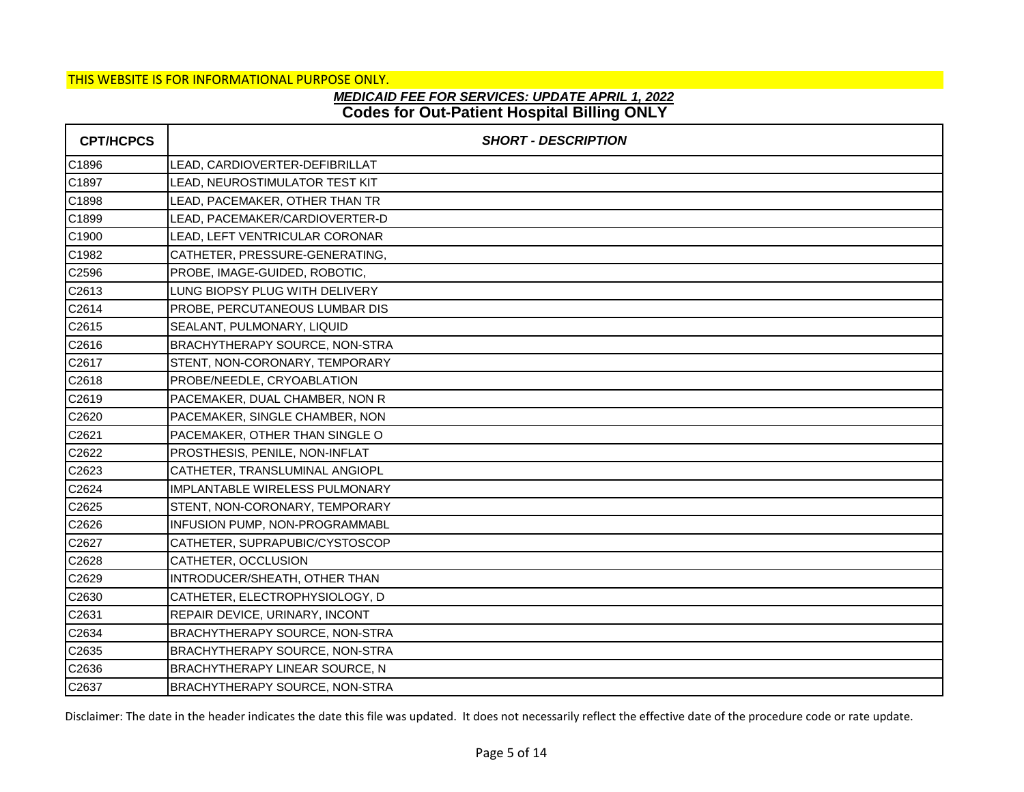# **Codes for Out-Patient Hospital Billing ONLY** *MEDICAID FEE FOR SERVICES: UPDATE APRIL 1, 2022*

| <b>CPT/HCPCS</b> | <b>SHORT - DESCRIPTION</b>     |
|------------------|--------------------------------|
| C1896            | LEAD, CARDIOVERTER-DEFIBRILLAT |
| C1897            | LEAD, NEUROSTIMULATOR TEST KIT |
| C1898            | LEAD, PACEMAKER, OTHER THAN TR |
| C1899            | LEAD, PACEMAKER/CARDIOVERTER-D |
| C1900            | LEAD, LEFT VENTRICULAR CORONAR |
| C1982            | CATHETER, PRESSURE-GENERATING, |
| C2596            | PROBE, IMAGE-GUIDED, ROBOTIC,  |
| C2613            | LUNG BIOPSY PLUG WITH DELIVERY |
| C2614            | PROBE, PERCUTANEOUS LUMBAR DIS |
| C2615            | SEALANT, PULMONARY, LIQUID     |
| C2616            | BRACHYTHERAPY SOURCE, NON-STRA |
| C2617            | STENT, NON-CORONARY, TEMPORARY |
| C2618            | PROBE/NEEDLE, CRYOABLATION     |
| C2619            | PACEMAKER, DUAL CHAMBER, NON R |
| C2620            | PACEMAKER, SINGLE CHAMBER, NON |
| C2621            | PACEMAKER, OTHER THAN SINGLE O |
| C2622            | PROSTHESIS, PENILE, NON-INFLAT |
| C2623            | CATHETER, TRANSLUMINAL ANGIOPL |
| C2624            | IMPLANTABLE WIRELESS PULMONARY |
| C2625            | STENT, NON-CORONARY, TEMPORARY |
| C2626            | INFUSION PUMP, NON-PROGRAMMABL |
| C2627            | CATHETER, SUPRAPUBIC/CYSTOSCOP |
| C2628            | CATHETER, OCCLUSION            |
| C2629            | INTRODUCER/SHEATH, OTHER THAN  |
| C2630            | CATHETER, ELECTROPHYSIOLOGY, D |
| C2631            | REPAIR DEVICE, URINARY, INCONT |
| C2634            | BRACHYTHERAPY SOURCE, NON-STRA |
| C2635            | BRACHYTHERAPY SOURCE, NON-STRA |
| C2636            | BRACHYTHERAPY LINEAR SOURCE, N |
| C2637            | BRACHYTHERAPY SOURCE, NON-STRA |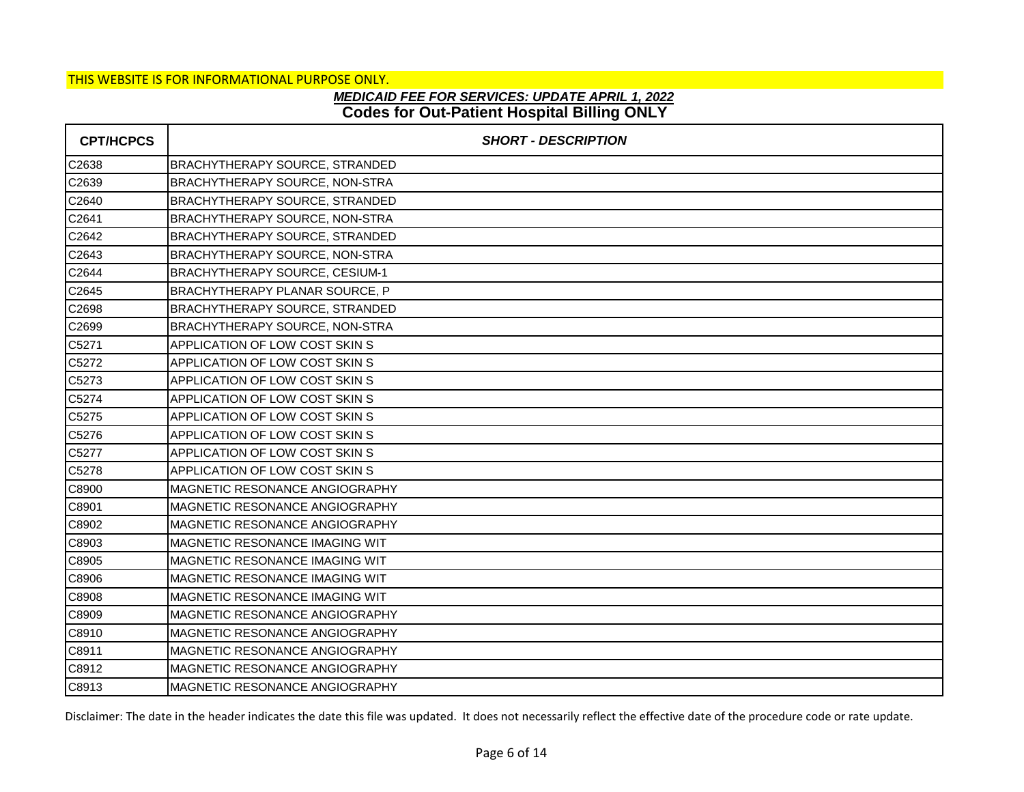# **Codes for Out-Patient Hospital Billing ONLY** *MEDICAID FEE FOR SERVICES: UPDATE APRIL 1, 2022*

| <b>CPT/HCPCS</b> | <b>SHORT - DESCRIPTION</b>             |
|------------------|----------------------------------------|
| C2638            | <b>BRACHYTHERAPY SOURCE, STRANDED</b>  |
| C2639            | BRACHYTHERAPY SOURCE, NON-STRA         |
| C2640            | <b>BRACHYTHERAPY SOURCE, STRANDED</b>  |
| C2641            | BRACHYTHERAPY SOURCE, NON-STRA         |
| C2642            | <b>BRACHYTHERAPY SOURCE, STRANDED</b>  |
| C2643            | <b>BRACHYTHERAPY SOURCE, NON-STRA</b>  |
| C2644            | BRACHYTHERAPY SOURCE, CESIUM-1         |
| C2645            | BRACHYTHERAPY PLANAR SOURCE, P         |
| C2698            | <b>BRACHYTHERAPY SOURCE, STRANDED</b>  |
| C2699            | BRACHYTHERAPY SOURCE, NON-STRA         |
| C5271            | APPLICATION OF LOW COST SKIN S         |
| C5272            | APPLICATION OF LOW COST SKIN S         |
| C5273            | APPLICATION OF LOW COST SKIN S         |
| C5274            | APPLICATION OF LOW COST SKIN S         |
| C5275            | APPLICATION OF LOW COST SKIN S         |
| C5276            | APPLICATION OF LOW COST SKIN S         |
| C5277            | APPLICATION OF LOW COST SKIN S         |
| C5278            | APPLICATION OF LOW COST SKIN S         |
| C8900            | MAGNETIC RESONANCE ANGIOGRAPHY         |
| C8901            | MAGNETIC RESONANCE ANGIOGRAPHY         |
| C8902            | <b>MAGNETIC RESONANCE ANGIOGRAPHY</b>  |
| C8903            | <b>MAGNETIC RESONANCE IMAGING WIT</b>  |
| C8905            | <b>MAGNETIC RESONANCE IMAGING WIT</b>  |
| C8906            | MAGNETIC RESONANCE IMAGING WIT         |
| C8908            | <b>IMAGNETIC RESONANCE IMAGING WIT</b> |
| C8909            | MAGNETIC RESONANCE ANGIOGRAPHY         |
| C8910            | MAGNETIC RESONANCE ANGIOGRAPHY         |
| C8911            | <b>MAGNETIC RESONANCE ANGIOGRAPHY</b>  |
| C8912            | MAGNETIC RESONANCE ANGIOGRAPHY         |
| C8913            | MAGNETIC RESONANCE ANGIOGRAPHY         |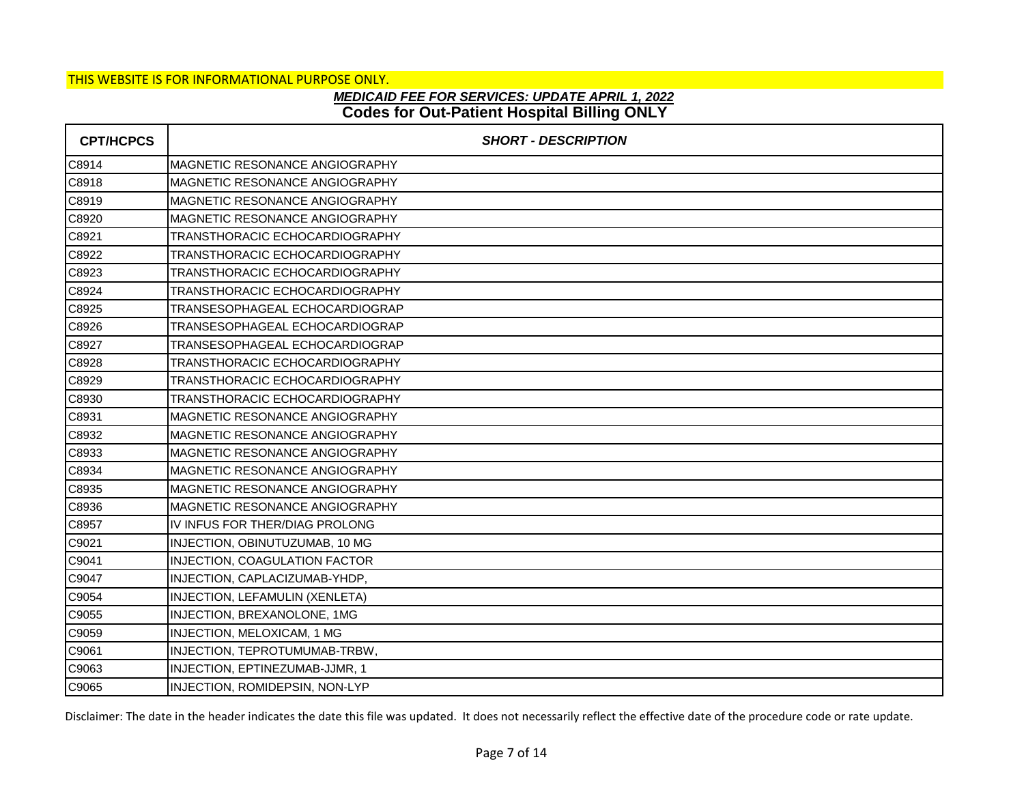# **Codes for Out-Patient Hospital Billing ONLY** *MEDICAID FEE FOR SERVICES: UPDATE APRIL 1, 2022*

| <b>CPT/HCPCS</b> | <b>SHORT - DESCRIPTION</b>            |
|------------------|---------------------------------------|
| C8914            | MAGNETIC RESONANCE ANGIOGRAPHY        |
| C8918            | MAGNETIC RESONANCE ANGIOGRAPHY        |
| C8919            | <b>MAGNETIC RESONANCE ANGIOGRAPHY</b> |
| C8920            | <b>MAGNETIC RESONANCE ANGIOGRAPHY</b> |
| C8921            | TRANSTHORACIC ECHOCARDIOGRAPHY        |
| C8922            | TRANSTHORACIC ECHOCARDIOGRAPHY        |
| C8923            | TRANSTHORACIC ECHOCARDIOGRAPHY        |
| C8924            | TRANSTHORACIC ECHOCARDIOGRAPHY        |
| C8925            | TRANSESOPHAGEAL ECHOCARDIOGRAP        |
| C8926            | TRANSESOPHAGEAL ECHOCARDIOGRAP        |
| C8927            | TRANSESOPHAGEAL ECHOCARDIOGRAP        |
| C8928            | TRANSTHORACIC ECHOCARDIOGRAPHY        |
| C8929            | TRANSTHORACIC ECHOCARDIOGRAPHY        |
| C8930            | TRANSTHORACIC ECHOCARDIOGRAPHY        |
| C8931            | <b>MAGNETIC RESONANCE ANGIOGRAPHY</b> |
| C8932            | MAGNETIC RESONANCE ANGIOGRAPHY        |
| C8933            | <b>MAGNETIC RESONANCE ANGIOGRAPHY</b> |
| C8934            | <b>MAGNETIC RESONANCE ANGIOGRAPHY</b> |
| C8935            | MAGNETIC RESONANCE ANGIOGRAPHY        |
| C8936            | <b>MAGNETIC RESONANCE ANGIOGRAPHY</b> |
| C8957            | IV INFUS FOR THER/DIAG PROLONG        |
| C9021            | INJECTION, OBINUTUZUMAB, 10 MG        |
| C9041            | INJECTION, COAGULATION FACTOR         |
| C9047            | INJECTION, CAPLACIZUMAB-YHDP,         |
| C9054            | INJECTION, LEFAMULIN (XENLETA)        |
| C9055            | INJECTION, BREXANOLONE, 1MG           |
| C9059            | INJECTION, MELOXICAM, 1 MG            |
| C9061            | INJECTION, TEPROTUMUMAB-TRBW,         |
| C9063            | INJECTION, EPTINEZUMAB-JJMR, 1        |
| C9065            | INJECTION, ROMIDEPSIN, NON-LYP        |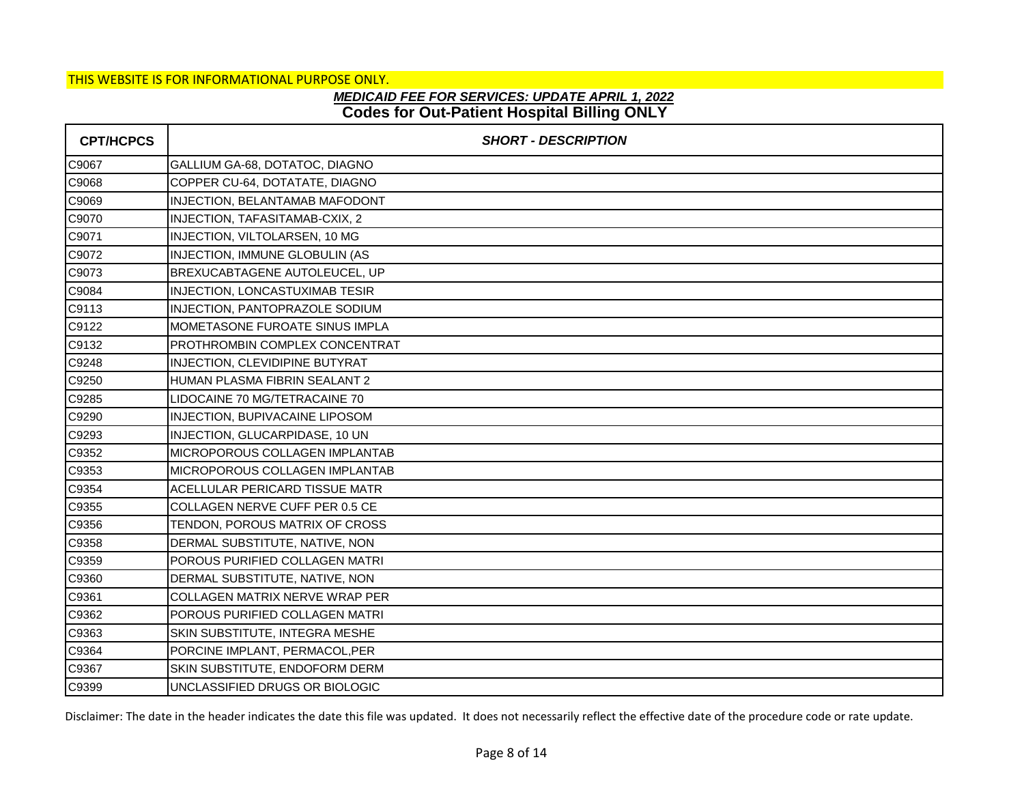# **Codes for Out-Patient Hospital Billing ONLY** *MEDICAID FEE FOR SERVICES: UPDATE APRIL 1, 2022*

| <b>CPT/HCPCS</b> | <b>SHORT - DESCRIPTION</b>             |
|------------------|----------------------------------------|
| C9067            | GALLIUM GA-68, DOTATOC, DIAGNO         |
| C9068            | COPPER CU-64, DOTATATE, DIAGNO         |
| C9069            | INJECTION, BELANTAMAB MAFODONT         |
| C9070            | INJECTION, TAFASITAMAB-CXIX, 2         |
| C9071            | INJECTION, VILTOLARSEN, 10 MG          |
| C9072            | INJECTION, IMMUNE GLOBULIN (AS         |
| C9073            | BREXUCABTAGENE AUTOLEUCEL, UP          |
| C9084            | INJECTION, LONCASTUXIMAB TESIR         |
| C9113            | INJECTION, PANTOPRAZOLE SODIUM         |
| C9122            | MOMETASONE FUROATE SINUS IMPLA         |
| C9132            | PROTHROMBIN COMPLEX CONCENTRAT         |
| C9248            | INJECTION, CLEVIDIPINE BUTYRAT         |
| C9250            | HUMAN PLASMA FIBRIN SEALANT 2          |
| C9285            | LIDOCAINE 70 MG/TETRACAINE 70          |
| C9290            | INJECTION, BUPIVACAINE LIPOSOM         |
| C9293            | INJECTION, GLUCARPIDASE, 10 UN         |
| C9352            | <b>MICROPOROUS COLLAGEN IMPLANTAB</b>  |
| C9353            | <b>IMICROPOROUS COLLAGEN IMPLANTAB</b> |
| C9354            | ACELLULAR PERICARD TISSUE MATR         |
| C9355            | COLLAGEN NERVE CUFF PER 0.5 CE         |
| C9356            | TENDON, POROUS MATRIX OF CROSS         |
| C9358            | DERMAL SUBSTITUTE, NATIVE, NON         |
| C9359            | POROUS PURIFIED COLLAGEN MATRI         |
| C9360            | DERMAL SUBSTITUTE, NATIVE, NON         |
| C9361            | COLLAGEN MATRIX NERVE WRAP PER         |
| C9362            | POROUS PURIFIED COLLAGEN MATRI         |
| C9363            | SKIN SUBSTITUTE, INTEGRA MESHE         |
| C9364            | PORCINE IMPLANT, PERMACOL, PER         |
| C9367            | SKIN SUBSTITUTE, ENDOFORM DERM         |
| C9399            | UNCLASSIFIED DRUGS OR BIOLOGIC         |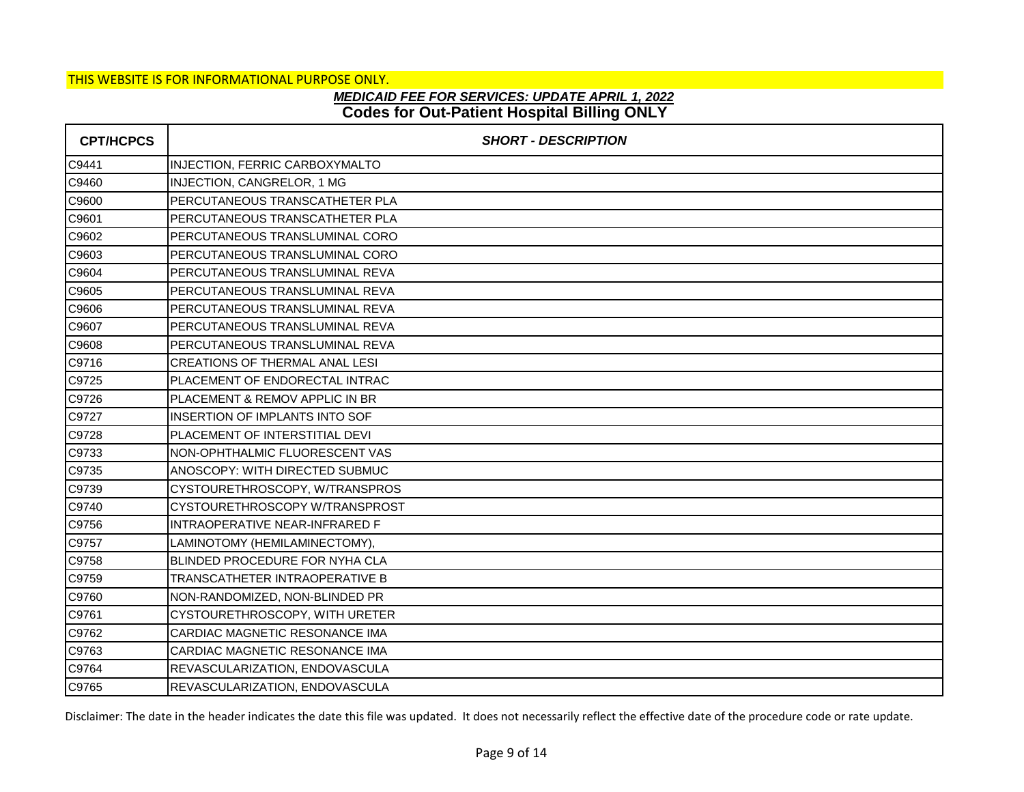## **Codes for Out-Patient Hospital Billing ONLY** *MEDICAID FEE FOR SERVICES: UPDATE APRIL 1, 2022*

| <b>CPT/HCPCS</b> | <b>SHORT - DESCRIPTION</b>            |
|------------------|---------------------------------------|
| C9441            | INJECTION, FERRIC CARBOXYMALTO        |
| C9460            | INJECTION, CANGRELOR, 1 MG            |
| C9600            | <b>PERCUTANEOUS TRANSCATHETER PLA</b> |
| C9601            | PERCUTANEOUS TRANSCATHETER PLA        |
| C9602            | PERCUTANEOUS TRANSLUMINAL CORO        |
| C9603            | PERCUTANEOUS TRANSLUMINAL CORO        |
| C9604            | PERCUTANEOUS TRANSLUMINAL REVA        |
| C9605            | PERCUTANEOUS TRANSLUMINAL REVA        |
| C9606            | PERCUTANEOUS TRANSLUMINAL REVA        |
| C9607            | PERCUTANEOUS TRANSLUMINAL REVA        |
| C9608            | PERCUTANEOUS TRANSLUMINAL REVA        |
| C9716            | <b>CREATIONS OF THERMAL ANAL LESI</b> |
| C9725            | PLACEMENT OF ENDORECTAL INTRAC        |
| C9726            | PLACEMENT & REMOV APPLIC IN BR        |
| C9727            | <b>INSERTION OF IMPLANTS INTO SOF</b> |
| C9728            | PLACEMENT OF INTERSTITIAL DEVI        |
| C9733            | NON-OPHTHALMIC FLUORESCENT VAS        |
| C9735            | ANOSCOPY: WITH DIRECTED SUBMUC        |
| C9739            | CYSTOURETHROSCOPY, W/TRANSPROS        |
| C9740            | CYSTOURETHROSCOPY W/TRANSPROST        |
| C9756            | INTRAOPERATIVE NEAR-INFRARED F        |
| C9757            | LAMINOTOMY (HEMILAMINECTOMY),         |
| C9758            | BLINDED PROCEDURE FOR NYHA CLA        |
| C9759            | TRANSCATHETER INTRAOPERATIVE B        |
| C9760            | NON-RANDOMIZED, NON-BLINDED PR        |
| C9761            | CYSTOURETHROSCOPY, WITH URETER        |
| C9762            | CARDIAC MAGNETIC RESONANCE IMA        |
| C9763            | CARDIAC MAGNETIC RESONANCE IMA        |
| C9764            | REVASCULARIZATION, ENDOVASCULA        |
| C9765            | REVASCULARIZATION, ENDOVASCULA        |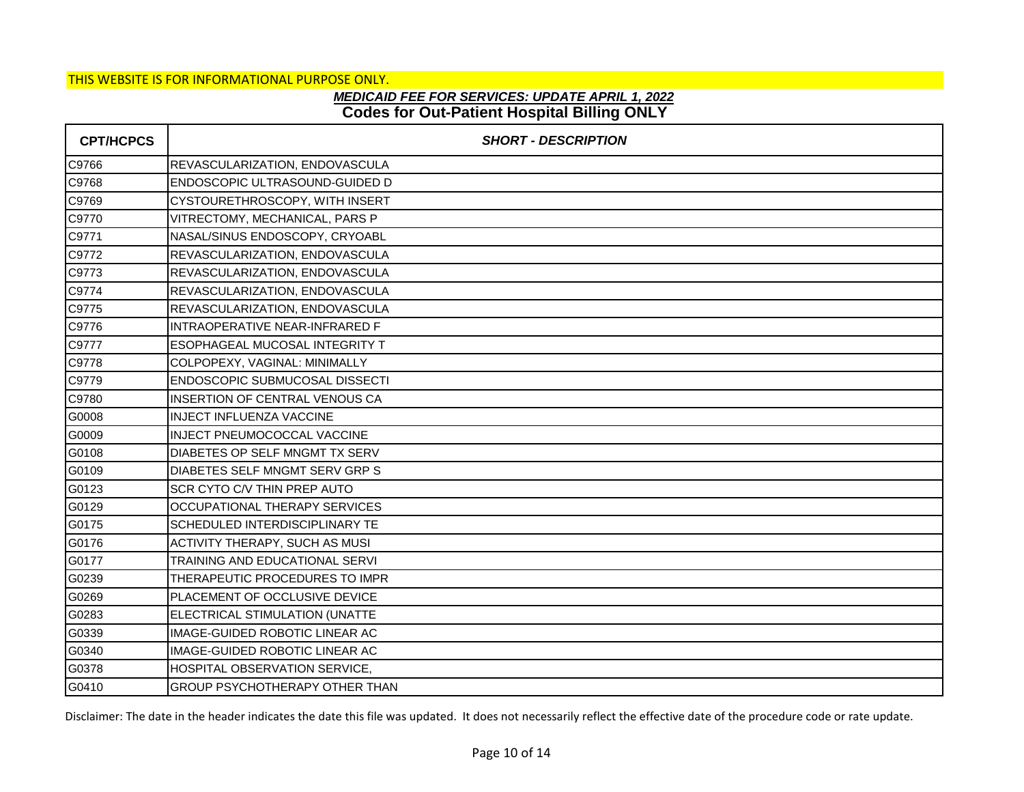# **Codes for Out-Patient Hospital Billing ONLY** *MEDICAID FEE FOR SERVICES: UPDATE APRIL 1, 2022*

| <b>CPT/HCPCS</b> | <b>SHORT - DESCRIPTION</b>            |
|------------------|---------------------------------------|
| C9766            | REVASCULARIZATION, ENDOVASCULA        |
| C9768            | ENDOSCOPIC ULTRASOUND-GUIDED D        |
| C9769            | CYSTOURETHROSCOPY, WITH INSERT        |
| C9770            | VITRECTOMY, MECHANICAL, PARS P        |
| C9771            | NASAL/SINUS ENDOSCOPY, CRYOABL        |
| C9772            | REVASCULARIZATION, ENDOVASCULA        |
| C9773            | REVASCULARIZATION, ENDOVASCULA        |
| C9774            | REVASCULARIZATION, ENDOVASCULA        |
| C9775            | REVASCULARIZATION, ENDOVASCULA        |
| C9776            | INTRAOPERATIVE NEAR-INFRARED F        |
| C9777            | ESOPHAGEAL MUCOSAL INTEGRITY T        |
| C9778            | COLPOPEXY, VAGINAL: MINIMALLY         |
| C9779            | <b>ENDOSCOPIC SUBMUCOSAL DISSECTI</b> |
| C9780            | INSERTION OF CENTRAL VENOUS CA        |
| G0008            | INJECT INFLUENZA VACCINE              |
| G0009            | INJECT PNEUMOCOCCAL VACCINE           |
| G0108            | DIABETES OP SELF MNGMT TX SERV        |
| G0109            | DIABETES SELF MNGMT SERV GRP S        |
| G0123            | <b>SCR CYTO C/V THIN PREP AUTO</b>    |
| G0129            | OCCUPATIONAL THERAPY SERVICES         |
| G0175            | <b>SCHEDULED INTERDISCIPLINARY TE</b> |
| G0176            | ACTIVITY THERAPY, SUCH AS MUSI        |
| G0177            | TRAINING AND EDUCATIONAL SERVI        |
| G0239            | THERAPEUTIC PROCEDURES TO IMPR        |
| G0269            | PLACEMENT OF OCCLUSIVE DEVICE         |
| G0283            | ELECTRICAL STIMULATION (UNATTE        |
| G0339            | IMAGE-GUIDED ROBOTIC LINEAR AC        |
| G0340            | IMAGE-GUIDED ROBOTIC LINEAR AC        |
| G0378            | HOSPITAL OBSERVATION SERVICE,         |
| G0410            | GROUP PSYCHOTHERAPY OTHER THAN        |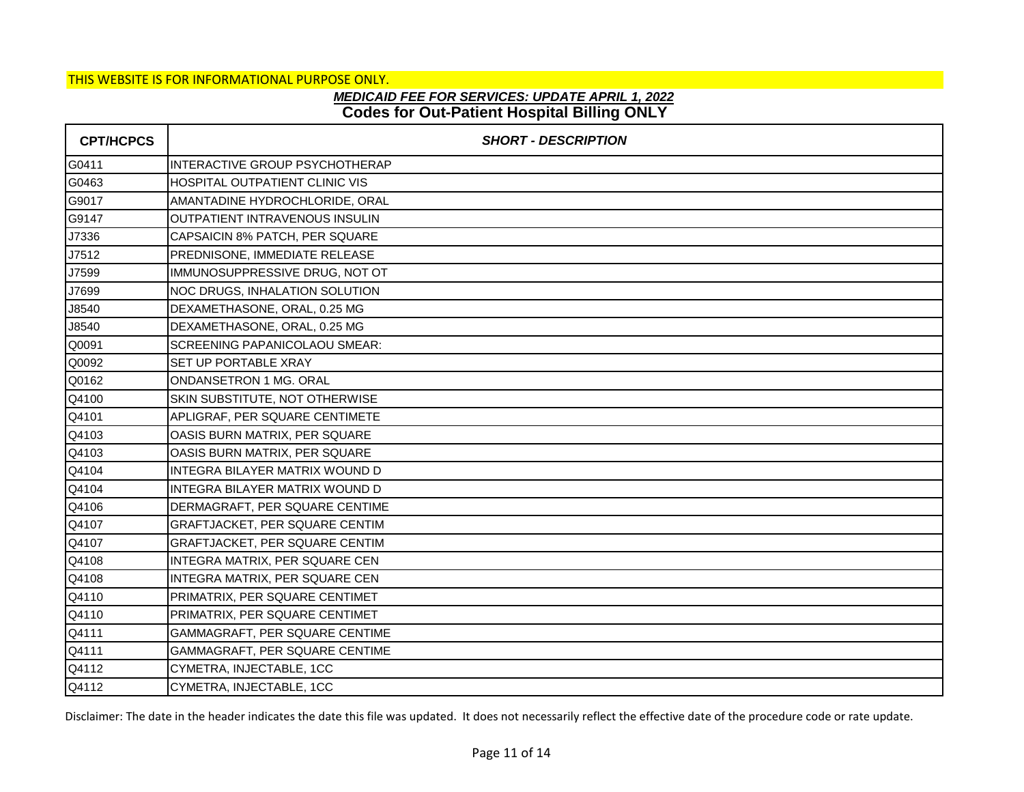## **Codes for Out-Patient Hospital Billing ONLY** *MEDICAID FEE FOR SERVICES: UPDATE APRIL 1, 2022*

| <b>CPT/HCPCS</b> | <b>SHORT - DESCRIPTION</b>            |
|------------------|---------------------------------------|
| G0411            | INTERACTIVE GROUP PSYCHOTHERAP        |
| G0463            | HOSPITAL OUTPATIENT CLINIC VIS        |
| G9017            | AMANTADINE HYDROCHLORIDE, ORAL        |
| G9147            | <b>OUTPATIENT INTRAVENOUS INSULIN</b> |
| J7336            | <b>CAPSAICIN 8% PATCH, PER SQUARE</b> |
| J7512            | PREDNISONE, IMMEDIATE RELEASE         |
| J7599            | IMMUNOSUPPRESSIVE DRUG, NOT OT        |
| J7699            | NOC DRUGS, INHALATION SOLUTION        |
| J8540            | DEXAMETHASONE, ORAL, 0.25 MG          |
| J8540            | DEXAMETHASONE, ORAL, 0.25 MG          |
| Q0091            | SCREENING PAPANICOLAOU SMEAR:         |
| Q0092            | SET UP PORTABLE XRAY                  |
| Q0162            | <b>ONDANSETRON 1 MG, ORAL</b>         |
| Q4100            | SKIN SUBSTITUTE, NOT OTHERWISE        |
| Q4101            | APLIGRAF, PER SQUARE CENTIMETE        |
| Q4103            | OASIS BURN MATRIX, PER SQUARE         |
| Q4103            | OASIS BURN MATRIX, PER SQUARE         |
| Q4104            | <b>INTEGRA BILAYER MATRIX WOUND D</b> |
| Q4104            | INTEGRA BILAYER MATRIX WOUND D        |
| Q4106            | DERMAGRAFT, PER SQUARE CENTIME        |
| Q4107            | GRAFTJACKET, PER SQUARE CENTIM        |
| Q4107            | GRAFTJACKET, PER SQUARE CENTIM        |
| Q4108            | INTEGRA MATRIX, PER SQUARE CEN        |
| Q4108            | INTEGRA MATRIX, PER SQUARE CEN        |
| Q4110            | PRIMATRIX, PER SQUARE CENTIMET        |
| Q4110            | PRIMATRIX, PER SQUARE CENTIMET        |
| Q4111            | GAMMAGRAFT, PER SQUARE CENTIME        |
| Q4111            | GAMMAGRAFT, PER SQUARE CENTIME        |
| Q4112            | CYMETRA, INJECTABLE, 1CC              |
| Q4112            | CYMETRA, INJECTABLE, 1CC              |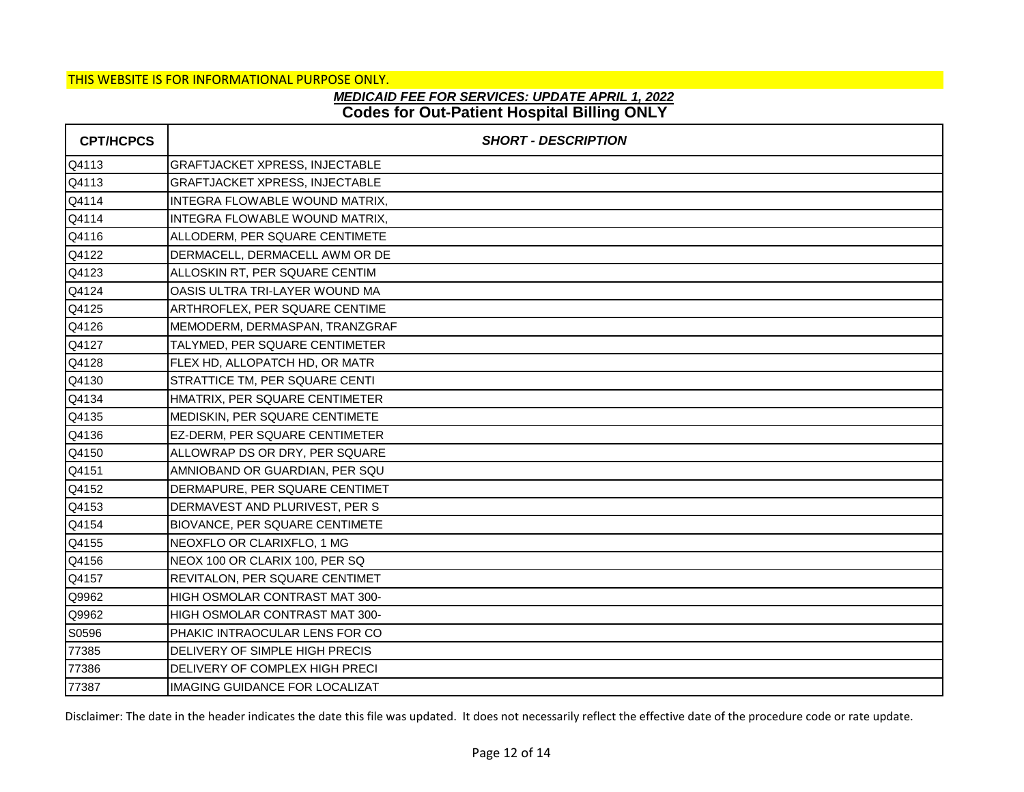# **Codes for Out-Patient Hospital Billing ONLY** *MEDICAID FEE FOR SERVICES: UPDATE APRIL 1, 2022*

| <b>CPT/HCPCS</b> | <b>SHORT - DESCRIPTION</b>            |
|------------------|---------------------------------------|
| Q4113            | <b>GRAFTJACKET XPRESS, INJECTABLE</b> |
| Q4113            | GRAFTJACKET XPRESS, INJECTABLE        |
| Q4114            | INTEGRA FLOWABLE WOUND MATRIX,        |
| Q4114            | INTEGRA FLOWABLE WOUND MATRIX,        |
| Q4116            | ALLODERM, PER SQUARE CENTIMETE        |
| Q4122            | DERMACELL, DERMACELL AWM OR DE        |
| Q4123            | ALLOSKIN RT, PER SQUARE CENTIM        |
| Q4124            | OASIS ULTRA TRI-LAYER WOUND MA        |
| Q4125            | ARTHROFLEX, PER SQUARE CENTIME        |
| Q4126            | MEMODERM, DERMASPAN, TRANZGRAF        |
| Q4127            | TALYMED, PER SQUARE CENTIMETER        |
| Q4128            | FLEX HD, ALLOPATCH HD, OR MATR        |
| Q4130            | STRATTICE TM, PER SQUARE CENTI        |
| Q4134            | HMATRIX, PER SQUARE CENTIMETER        |
| Q4135            | MEDISKIN, PER SQUARE CENTIMETE        |
| Q4136            | EZ-DERM, PER SQUARE CENTIMETER        |
| Q4150            | ALLOWRAP DS OR DRY, PER SQUARE        |
| Q4151            | AMNIOBAND OR GUARDIAN, PER SQU        |
| Q4152            | DERMAPURE, PER SQUARE CENTIMET        |
| Q4153            | DERMAVEST AND PLURIVEST, PER S        |
| Q4154            | BIOVANCE, PER SQUARE CENTIMETE        |
| Q4155            | NEOXFLO OR CLARIXFLO, 1 MG            |
| Q4156            | NEOX 100 OR CLARIX 100, PER SQ        |
| Q4157            | REVITALON, PER SQUARE CENTIMET        |
| Q9962            | HIGH OSMOLAR CONTRAST MAT 300-        |
| Q9962            | HIGH OSMOLAR CONTRAST MAT 300-        |
| S0596            | PHAKIC INTRAOCULAR LENS FOR CO        |
| 77385            | DELIVERY OF SIMPLE HIGH PRECIS        |
| 77386            | DELIVERY OF COMPLEX HIGH PRECI        |
| 77387            | <b>IMAGING GUIDANCE FOR LOCALIZAT</b> |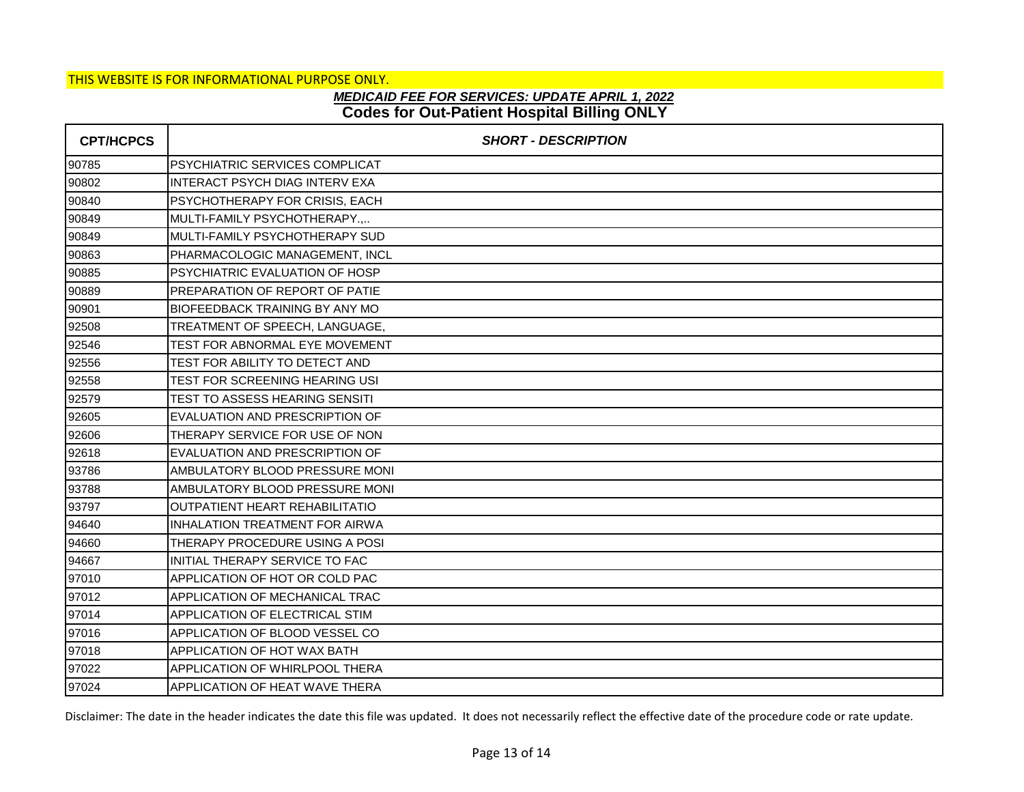# **Codes for Out-Patient Hospital Billing ONLY** *MEDICAID FEE FOR SERVICES: UPDATE APRIL 1, 2022*

| <b>CPT/HCPCS</b> | <b>SHORT - DESCRIPTION</b>             |
|------------------|----------------------------------------|
| 90785            | <b>PSYCHIATRIC SERVICES COMPLICAT</b>  |
| 90802            | <b>INTERACT PSYCH DIAG INTERV EXA</b>  |
| 90840            | PSYCHOTHERAPY FOR CRISIS, EACH         |
| 90849            | MULTI-FAMILY PSYCHOTHERAPY.,           |
| 90849            | IMULTI-FAMILY PSYCHOTHERAPY SUD        |
| 90863            | PHARMACOLOGIC MANAGEMENT, INCL         |
| 90885            | PSYCHIATRIC EVALUATION OF HOSP         |
| 90889            | PREPARATION OF REPORT OF PATIE         |
| 90901            | <b>IBIOFEEDBACK TRAINING BY ANY MO</b> |
| 92508            | TREATMENT OF SPEECH, LANGUAGE,         |
| 92546            | <b>TEST FOR ABNORMAL EYE MOVEMENT</b>  |
| 92556            | TEST FOR ABILITY TO DETECT AND         |
| 92558            | <b>TEST FOR SCREENING HEARING USI</b>  |
| 92579            | <b>TEST TO ASSESS HEARING SENSITI</b>  |
| 92605            | EVALUATION AND PRESCRIPTION OF         |
| 92606            | THERAPY SERVICE FOR USE OF NON         |
| 92618            | EVALUATION AND PRESCRIPTION OF         |
| 93786            | AMBULATORY BLOOD PRESSURE MONI         |
| 93788            | AMBULATORY BLOOD PRESSURE MONI         |
| 93797            | <b>OUTPATIENT HEART REHABILITATIO</b>  |
| 94640            | INHALATION TREATMENT FOR AIRWA         |
| 94660            | THERAPY PROCEDURE USING A POSI         |
| 94667            | INITIAL THERAPY SERVICE TO FAC         |
| 97010            | APPLICATION OF HOT OR COLD PAC         |
| 97012            | <b>APPLICATION OF MECHANICAL TRAC</b>  |
| 97014            | <b>APPLICATION OF ELECTRICAL STIM</b>  |
| 97016            | APPLICATION OF BLOOD VESSEL CO         |
| 97018            | APPLICATION OF HOT WAX BATH            |
| 97022            | <b>APPLICATION OF WHIRLPOOL THERA</b>  |
| 97024            | APPLICATION OF HEAT WAVE THERA         |